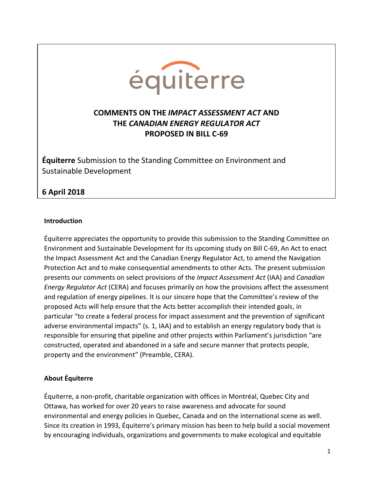

# **COMMENTS ON THE** *IMPACT ASSESSMENT ACT* **AND THE** *CANADIAN ENERGY REGULATOR ACT* **PROPOSED IN BILL C-69**

**Équiterre** Submission to the Standing Committee on Environment and Sustainable Development

# **6 April 2018**

#### **Introduction**

Équiterre appreciates the opportunity to provide this submission to the Standing Committee on Environment and Sustainable Development for its upcoming study on Bill C-69, An Act to enact the Impact Assessment Act and the Canadian Energy Regulator Act, to amend the Navigation Protection Act and to make consequential amendments to other Acts. The present submission presents our comments on select provisions of the *Impact Assessment Act* (IAA) and *Canadian Energy Regulator Act* (CERA) and focuses primarily on how the provisions affect the assessment and regulation of energy pipelines. It is our sincere hope that the Committee's review of the proposed Acts will help ensure that the Acts better accomplish their intended goals, in particular "to create a federal process for impact assessment and the prevention of significant adverse environmental impacts" (s. 1, IAA) and to establish an energy regulatory body that is responsible for ensuring that pipeline and other projects within Parliament's jurisdiction "are constructed, operated and abandoned in a safe and secure manner that protects people, property and the environment" (Preamble, CERA).

#### **About Équiterre**

Équiterre, a non-profit, charitable organization with offices in Montréal, Quebec City and Ottawa, has worked for over 20 years to raise awareness and advocate for sound environmental and energy policies in Quebec, Canada and on the international scene as well. Since its creation in 1993, Équiterre's primary mission has been to help build a social movement by encouraging individuals, organizations and governments to make ecological and equitable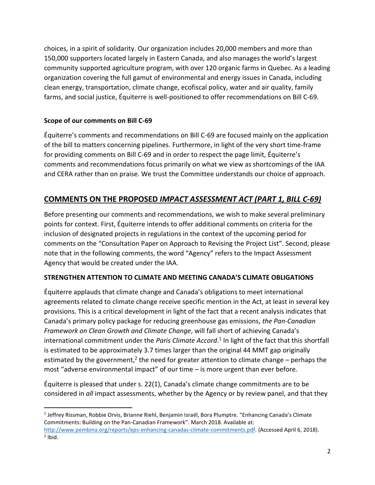choices, in a spirit of solidarity. Our organization includes 20,000 members and more than 150,000 supporters located largely in Eastern Canada, and also manages the world's largest community supported agriculture program, with over 120 organic farms in Quebec. As a leading organization covering the full gamut of environmental and energy issues in Canada, including clean energy, transportation, climate change, ecofiscal policy, water and air quality, family farms, and social justice, Équiterre is well-positioned to offer recommendations on Bill C-69.

## **Scope of our comments on Bill C-69**

 $\overline{\phantom{a}}$ 

Équiterre's comments and recommendations on Bill C-69 are focused mainly on the application of the bill to matters concerning pipelines. Furthermore, in light of the very short time-frame for providing comments on Bill C-69 and in order to respect the page limit, Équiterre's comments and recommendations focus primarily on what we view as shortcomings of the IAA and CERA rather than on praise. We trust the Committee understands our choice of approach.

# **COMMENTS ON THE PROPOSED** *IMPACT ASSESSMENT ACT (PART 1, BILL C-69)*

Before presenting our comments and recommendations, we wish to make several preliminary points for context. First, Équiterre intends to offer additional comments on criteria for the inclusion of designated projects in regulations in the context of the upcoming period for comments on the "Consultation Paper on Approach to Revising the Project List". Second, please note that in the following comments, the word "Agency" refers to the Impact Assessment Agency that would be created under the IAA.

### **STRENGTHEN ATTENTION TO CLIMATE AND MEETING CANADA'S CLIMATE OBLIGATIONS**

Équiterre applauds that climate change and Canada's obligations to meet international agreements related to climate change receive specific mention in the Act, at least in several key provisions. This is a critical development in light of the fact that a recent analysis indicates that Canada's primary policy package for reducing greenhouse gas emissions, *the Pan-Canadian Framework on Clean Growth and Climate Change*, will fall short of achieving Canada's international commitment under the *Paris Climate Accord*. 1 In light of the fact that this shortfall is estimated to be approximately 3.7 times larger than the original 44 MMT gap originally estimated by the government,<sup>2</sup> the need for greater attention to climate change – perhaps the most "adverse environmental impact" of our time – is more urgent than ever before.

Équiterre is pleased that under s. 22(1), Canada's climate change commitments are to be considered in *all* impact assessments, whether by the Agency or by review panel, and that they

<sup>&</sup>lt;sup>1</sup> Jeffrey Rissman, Robbie Orvis, Brianne Riehl, Benjamin Israël, Bora Plumptre. "Enhancing Canada's Climate Commitments: Building on the Pan-Canadian Framework". March 2018. Available at: [http://www.pembina.org/reports/eps-enhancing-canadas-climate-commitments.pdf.](http://www.pembina.org/reports/eps-enhancing-canadas-climate-commitments.pdf) (Accessed April 6, 2018).  $<sup>2</sup>$  Ibid.</sup>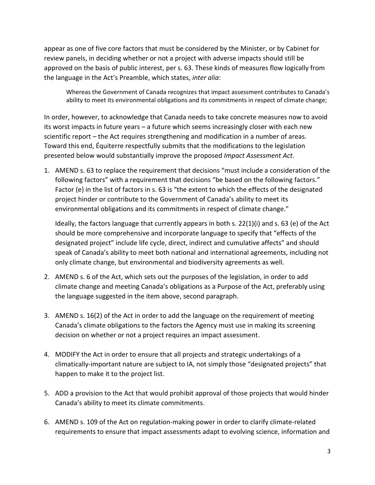appear as one of five core factors that must be considered by the Minister, or by Cabinet for review panels, in deciding whether or not a project with adverse impacts should still be approved on the basis of public interest, per s. 63. These kinds of measures flow logically from the language in the Act's Preamble, which states, *inter alia*:

Whereas the Government of Canada recognizes that impact assessment contributes to Canada's ability to meet its environmental obligations and its commitments in respect of climate change;

In order, however, to acknowledge that Canada needs to take concrete measures now to avoid its worst impacts in future years – a future which seems increasingly closer with each new scientific report – the Act requires strengthening and modification in a number of areas. Toward this end, Équiterre respectfully submits that the modifications to the legislation presented below would substantially improve the proposed *Impact Assessment Act.*

1. AMEND s. 63 to replace the requirement that decisions "must include a consideration of the following factors" with a requirement that decisions "be based on the following factors." Factor (e) in the list of factors in s. 63 is "the extent to which the effects of the designated project hinder or contribute to the Government of Canada's ability to meet its environmental obligations and its commitments in respect of climate change."

Ideally, the factors language that currently appears in both s. 22(1)(i) and s. 63 (e) of the Act should be more comprehensive and incorporate language to specify that "effects of the designated project" include life cycle, direct, indirect and cumulative affects" and should speak of Canada's ability to meet both national and international agreements, including not only climate change, but environmental and biodiversity agreements as well.

- 2. AMEND s. 6 of the Act, which sets out the purposes of the legislation, in order to add climate change and meeting Canada's obligations as a Purpose of the Act, preferably using the language suggested in the item above, second paragraph.
- 3. AMEND s. 16(2) of the Act in order to add the language on the requirement of meeting Canada's climate obligations to the factors the Agency must use in making its screening decision on whether or not a project requires an impact assessment.
- 4. MODIFY the Act in order to ensure that all projects and strategic undertakings of a climatically-important nature are subject to IA, not simply those "designated projects" that happen to make it to the project list.
- 5. ADD a provision to the Act that would prohibit approval of those projects that would hinder Canada's ability to meet its climate commitments.
- 6. AMEND s. 109 of the Act on regulation-making power in order to clarify climate-related requirements to ensure that impact assessments adapt to evolving science, information and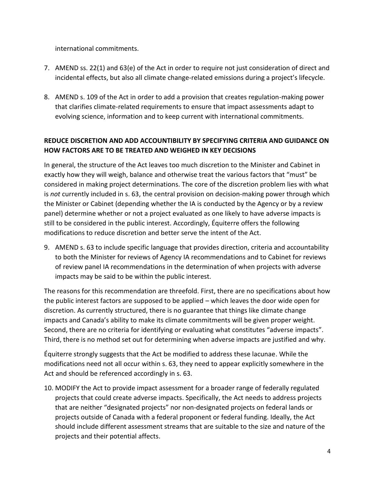international commitments.

- 7. AMEND ss. 22(1) and 63(e) of the Act in order to require not just consideration of direct and incidental effects, but also all climate change-related emissions during a project's lifecycle.
- 8. AMEND s. 109 of the Act in order to add a provision that creates regulation-making power that clarifies climate-related requirements to ensure that impact assessments adapt to evolving science, information and to keep current with international commitments.

### **REDUCE DISCRETION AND ADD ACCOUNTIBILITY BY SPECIFYING CRITERIA AND GUIDANCE ON HOW FACTORS ARE TO BE TREATED AND WEIGHED IN KEY DECISIONS**

In general, the structure of the Act leaves too much discretion to the Minister and Cabinet in exactly how they will weigh, balance and otherwise treat the various factors that "must" be considered in making project determinations. The core of the discretion problem lies with what is *not* currently included in s. 63, the central provision on decision-making power through which the Minister or Cabinet (depending whether the IA is conducted by the Agency or by a review panel) determine whether or not a project evaluated as one likely to have adverse impacts is still to be considered in the public interest. Accordingly, Équiterre offers the following modifications to reduce discretion and better serve the intent of the Act.

9. AMEND s. 63 to include specific language that provides direction, criteria and accountability to both the Minister for reviews of Agency IA recommendations and to Cabinet for reviews of review panel IA recommendations in the determination of when projects with adverse impacts may be said to be within the public interest.

The reasons for this recommendation are threefold. First, there are no specifications about how the public interest factors are supposed to be applied – which leaves the door wide open for discretion. As currently structured, there is no guarantee that things like climate change impacts and Canada's ability to make its climate commitments will be given proper weight. Second, there are no criteria for identifying or evaluating what constitutes "adverse impacts". Third, there is no method set out for determining when adverse impacts are justified and why.

Équiterre strongly suggests that the Act be modified to address these lacunae. While the modifications need not all occur within s. 63, they need to appear explicitly somewhere in the Act and should be referenced accordingly in s. 63.

10. MODIFY the Act to provide impact assessment for a broader range of federally regulated projects that could create adverse impacts. Specifically, the Act needs to address projects that are neither "designated projects" nor non-designated projects on federal lands or projects outside of Canada with a federal proponent or federal funding. Ideally, the Act should include different assessment streams that are suitable to the size and nature of the projects and their potential affects.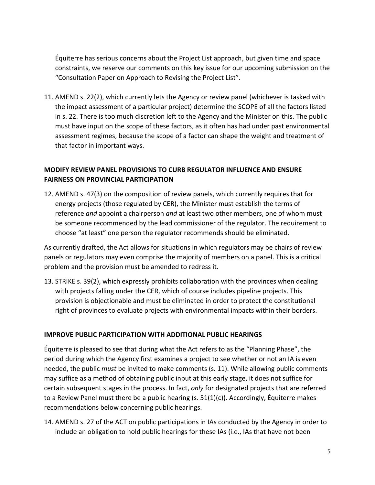Équiterre has serious concerns about the Project List approach, but given time and space constraints, we reserve our comments on this key issue for our upcoming submission on the "Consultation Paper on Approach to Revising the Project List".

11. AMEND s. 22(2), which currently lets the Agency or review panel (whichever is tasked with the impact assessment of a particular project) determine the SCOPE of all the factors listed in s. 22. There is too much discretion left to the Agency and the Minister on this. The public must have input on the scope of these factors, as it often has had under past environmental assessment regimes, because the scope of a factor can shape the weight and treatment of that factor in important ways.

### **MODIFY REVIEW PANEL PROVISIONS TO CURB REGULATOR INFLUENCE AND ENSURE FAIRNESS ON PROVINCIAL PARTICIPATION**

12. AMEND s. 47(3) on the composition of review panels, which currently requires that for energy projects (those regulated by CER), the Minister must establish the terms of reference *and* appoint a chairperson *and* at least two other members, one of whom must be someone recommended by the lead commissioner of the regulator. The requirement to choose "at least" one person the regulator recommends should be eliminated.

As currently drafted, the Act allows for situations in which regulators may be chairs of review panels or regulators may even comprise the majority of members on a panel. This is a critical problem and the provision must be amended to redress it.

13. STRIKE s. 39(2), which expressly prohibits collaboration with the provinces when dealing with projects falling under the CER, which of course includes pipeline projects. This provision is objectionable and must be eliminated in order to protect the constitutional right of provinces to evaluate projects with environmental impacts within their borders.

#### **IMPROVE PUBLIC PARTICIPATION WITH ADDITIONAL PUBLIC HEARINGS**

Équiterre is pleased to see that during what the Act refers to as the "Planning Phase", the period during which the Agency first examines a project to see whether or not an IA is even needed, the public *must* be invited to make comments (s. 11). While allowing public comments may suffice as a method of obtaining public input at this early stage, it does not suffice for certain subsequent stages in the process. In fact, *only* for designated projects that are referred to a Review Panel must there be a public hearing (s.  $51(1)(c)$ ). Accordingly, Équiterre makes recommendations below concerning public hearings.

14. AMEND s. 27 of the ACT on public participations in IAs conducted by the Agency in order to include an obligation to hold public hearings for these IAs (i.e., IAs that have not been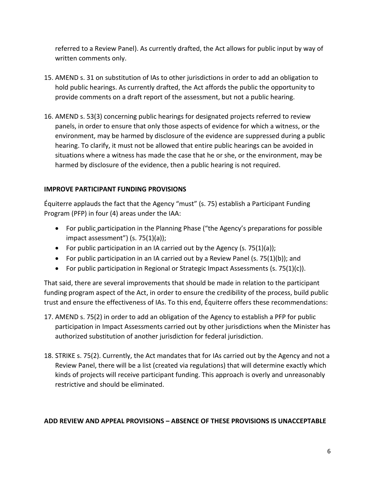referred to a Review Panel). As currently drafted, the Act allows for public input by way of written comments only.

- 15. AMEND s. 31 on substitution of IAs to other jurisdictions in order to add an obligation to hold public hearings. As currently drafted, the Act affords the public the opportunity to provide comments on a draft report of the assessment, but not a public hearing.
- 16. AMEND s. 53(3) concerning public hearings for designated projects referred to review panels, in order to ensure that only those aspects of evidence for which a witness, or the environment, may be harmed by disclosure of the evidence are suppressed during a public hearing. To clarify, it must not be allowed that entire public hearings can be avoided in situations where a witness has made the case that he or she, or the environment, may be harmed by disclosure of the evidence, then a public hearing is not required.

#### **IMPROVE PARTICIPANT FUNDING PROVISIONS**

Équiterre applauds the fact that the Agency "must" (s. 75) establish a Participant Funding Program (PFP) in four (4) areas under the IAA:

- For public participation in the Planning Phase ("the Agency's preparations for possible impact assessment")  $(s. 75(1)(a))$ ;
- For public participation in an IA carried out by the Agency (s. 75(1)(a));
- For public participation in an IA carried out by a Review Panel (s.  $75(1)(b)$ ); and
- For public participation in Regional or Strategic Impact Assessments (s.  $75(1)(c)$ ).

That said, there are several improvements that should be made in relation to the participant funding program aspect of the Act, in order to ensure the credibility of the process, build public trust and ensure the effectiveness of IAs. To this end, Équiterre offers these recommendations:

- 17. AMEND s. 75(2) in order to add an obligation of the Agency to establish a PFP for public participation in Impact Assessments carried out by other jurisdictions when the Minister has authorized substitution of another jurisdiction for federal jurisdiction.
- 18. STRIKE s. 75(2). Currently, the Act mandates that for IAs carried out by the Agency and not a Review Panel, there will be a list (created via regulations) that will determine exactly which kinds of projects will receive participant funding. This approach is overly and unreasonably restrictive and should be eliminated.

#### **ADD REVIEW AND APPEAL PROVISIONS – ABSENCE OF THESE PROVISIONS IS UNACCEPTABLE**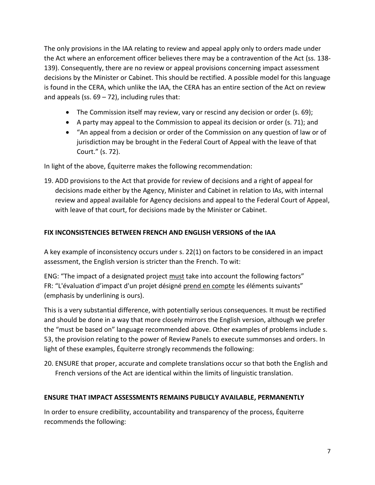The only provisions in the IAA relating to review and appeal apply only to orders made under the Act where an enforcement officer believes there may be a contravention of the Act (ss. 138- 139). Consequently, there are no review or appeal provisions concerning impact assessment decisions by the Minister or Cabinet. This should be rectified. A possible model for this language is found in the CERA, which unlike the IAA, the CERA has an entire section of the Act on review and appeals (ss.  $69 - 72$ ), including rules that:

- The Commission itself may review, vary or rescind any decision or order (s. 69);
- A party may appeal to the Commission to appeal its decision or order (s. 71); and
- "An appeal from a decision or order of the Commission on any question of law or of jurisdiction may be brought in the Federal Court of Appeal with the leave of that Court." (s. 72).

In light of the above, Équiterre makes the following recommendation:

19. ADD provisions to the Act that provide for review of decisions and a right of appeal for decisions made either by the Agency, Minister and Cabinet in relation to IAs, with internal review and appeal available for Agency decisions and appeal to the Federal Court of Appeal, with leave of that court, for decisions made by the Minister or Cabinet.

### **FIX INCONSISTENCIES BETWEEN FRENCH AND ENGLISH VERSIONS of the IAA**

A key example of inconsistency occurs under s. 22(1) on factors to be considered in an impact assessment, the English version is stricter than the French. To wit:

ENG: "The impact of a designated project must take into account the following factors" FR: "L'évaluation d'impact d'un projet désigné prend en compte les éléments suivants" (emphasis by underlining is ours).

This is a very substantial difference, with potentially serious consequences. It must be rectified and should be done in a way that more closely mirrors the English version, although we prefer the "must be based on" language recommended above. Other examples of problems include s. 53, the provision relating to the power of Review Panels to execute summonses and orders. In light of these examples, Équiterre strongly recommends the following:

20. ENSURE that proper, accurate and complete translations occur so that both the English and French versions of the Act are identical within the limits of linguistic translation.

#### **ENSURE THAT IMPACT ASSESSMENTS REMAINS PUBLICLY AVAILABLE, PERMANENTLY**

In order to ensure credibility, accountability and transparency of the process, Équiterre recommends the following: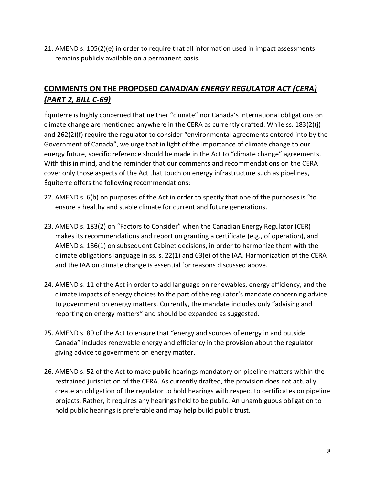21. AMEND s. 105(2)(e) in order to require that all information used in impact assessments remains publicly available on a permanent basis.

# **COMMENTS ON THE PROPOSED** *CANADIAN ENERGY REGULATOR ACT (CERA) (PART 2, BILL C-69)*

Équiterre is highly concerned that neither "climate" nor Canada's international obligations on climate change are mentioned anywhere in the CERA as currently drafted. While ss. 183(2)(j) and 262(2)(f) require the regulator to consider "environmental agreements entered into by the Government of Canada", we urge that in light of the importance of climate change to our energy future, specific reference should be made in the Act to "climate change" agreements. With this in mind, and the reminder that our comments and recommendations on the CERA cover only those aspects of the Act that touch on energy infrastructure such as pipelines, Équiterre offers the following recommendations:

- 22. AMEND s. 6(b) on purposes of the Act in order to specify that one of the purposes is "to ensure a healthy and stable climate for current and future generations.
- 23. AMEND s. 183(2) on "Factors to Consider" when the Canadian Energy Regulator (CER) makes its recommendations and report on granting a certificate (e.g., of operation), and AMEND s. 186(1) on subsequent Cabinet decisions, in order to harmonize them with the climate obligations language in ss. s. 22(1) and 63(e) of the IAA. Harmonization of the CERA and the IAA on climate change is essential for reasons discussed above.
- 24. AMEND s. 11 of the Act in order to add language on renewables, energy efficiency, and the climate impacts of energy choices to the part of the regulator's mandate concerning advice to government on energy matters. Currently, the mandate includes only "advising and reporting on energy matters" and should be expanded as suggested.
- 25. AMEND s. 80 of the Act to ensure that "energy and sources of energy in and outside Canada" includes renewable energy and efficiency in the provision about the regulator giving advice to government on energy matter.
- 26. AMEND s. 52 of the Act to make public hearings mandatory on pipeline matters within the restrained jurisdiction of the CERA. As currently drafted, the provision does not actually create an obligation of the regulator to hold hearings with respect to certificates on pipeline projects. Rather, it requires any hearings held to be public. An unambiguous obligation to hold public hearings is preferable and may help build public trust.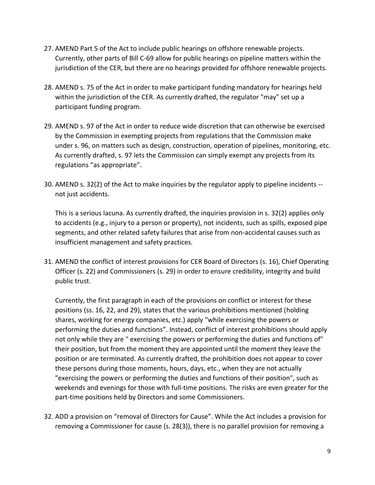- 27. AMEND Part 5 of the Act to include public hearings on offshore renewable projects. Currently, other parts of Bill C-69 allow for public hearings on pipeline matters within the jurisdiction of the CER, but there are no hearings provided for offshore renewable projects.
- 28. AMEND s. 75 of the Act in order to make participant funding mandatory for hearings held within the jurisdiction of the CER. As currently drafted, the regulator "may" set up a participant funding program.
- 29. AMEND s. 97 of the Act in order to reduce wide discretion that can otherwise be exercised by the Commission in exempting projects from regulations that the Commission make under s. 96, on matters such as design, construction, operation of pipelines, monitoring, etc. As currently drafted, s. 97 lets the Commission can simply exempt any projects from its regulations "as appropriate".
- 30. AMEND s. 32(2) of the Act to make inquiries by the regulator apply to pipeline incidents not just accidents.

This is a serious lacuna. As currently drafted, the inquiries provision in s. 32(2) applies only to accidents (e.g., injury to a person or property), not incidents, such as spills, exposed pipe segments, and other related safety failures that arise from non-accidental causes such as insufficient management and safety practices*.*

31. AMEND the conflict of interest provisions for CER Board of Directors (s. 16), Chief Operating Officer (s. 22) and Commissioners (s. 29) in order to ensure credibility, integrity and build public trust.

Currently, the first paragraph in each of the provisions on conflict or interest for these positions (ss. 16, 22, and 29), states that the various prohibitions mentioned (holding shares, working for energy companies, etc.) apply "while exercising the powers or performing the duties and functions". Instead, conflict of interest prohibitions should apply not only while they are " exercising the powers or performing the duties and functions of" their position, but from the moment they are appointed until the moment they leave the position or are terminated. As currently drafted, the prohibition does not appear to cover these persons during those moments, hours, days, etc., when they are not actually "exercising the powers or performing the duties and functions of their position", such as weekends and evenings for those with full-time positions. The risks are even greater for the part-time positions held by Directors and some Commissioners.

32. ADD a provision on "removal of Directors for Cause". While the Act includes a provision for removing a Commissioner for cause (s. 28(3)), there is no parallel provision for removing a